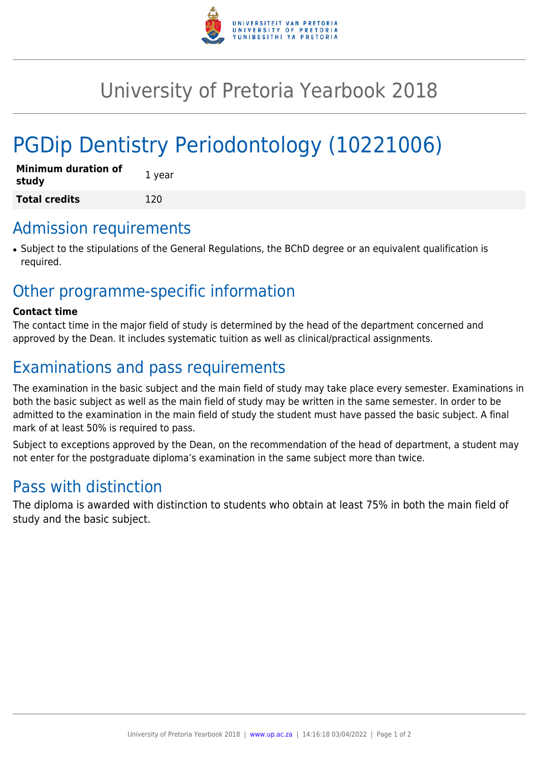

## University of Pretoria Yearbook 2018

# PGDip Dentistry Periodontology (10221006)

| <b>Minimum duration of</b><br>study | 1 year |
|-------------------------------------|--------|
| <b>Total credits</b>                | 120    |

#### Admission requirements

● Subject to the stipulations of the General Regulations, the BChD degree or an equivalent qualification is required.

## Other programme-specific information

#### **Contact time**

The contact time in the major field of study is determined by the head of the department concerned and approved by the Dean. It includes systematic tuition as well as clinical/practical assignments.

## Examinations and pass requirements

The examination in the basic subject and the main field of study may take place every semester. Examinations in both the basic subject as well as the main field of study may be written in the same semester. In order to be admitted to the examination in the main field of study the student must have passed the basic subject. A final mark of at least 50% is required to pass.

Subject to exceptions approved by the Dean, on the recommendation of the head of department, a student may not enter for the postgraduate diploma's examination in the same subject more than twice.

## Pass with distinction

The diploma is awarded with distinction to students who obtain at least 75% in both the main field of study and the basic subject.